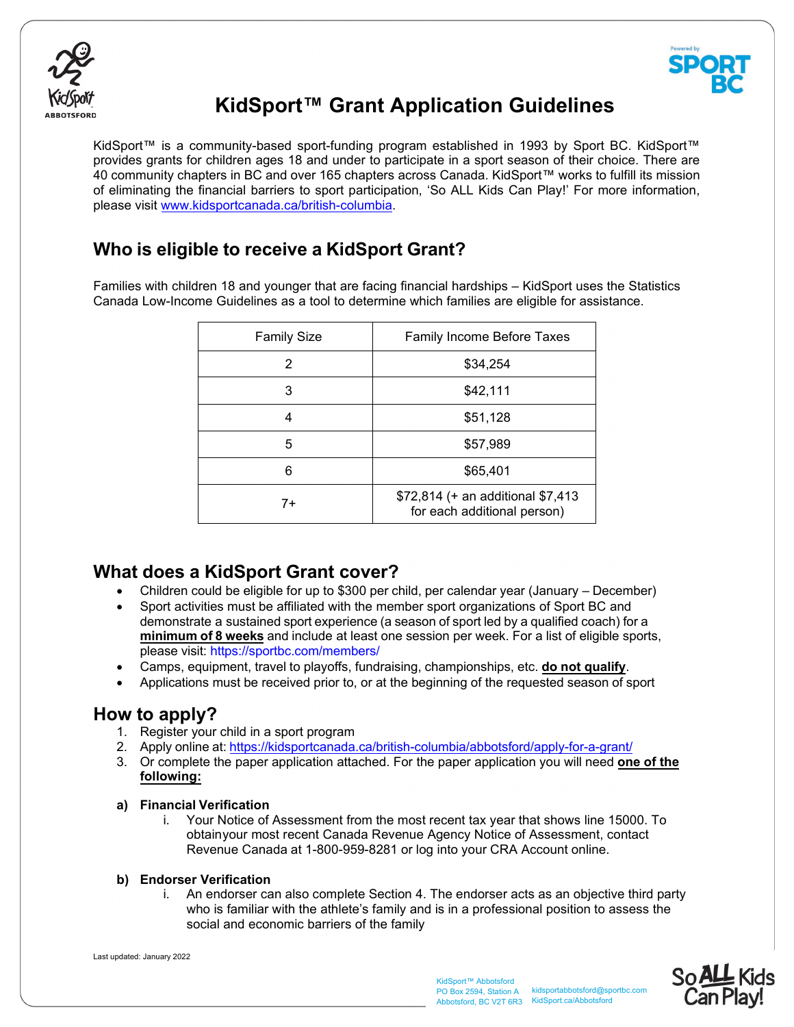



## **KidSport™ Grant Application Guidelines**

KidSport™ is a community-based sport-funding program established in 1993 by Sport BC. KidSport™ provides grants for children ages 18 and under to participate in a sport season of their choice. There are 40 community chapters in BC and over 165 chapters across Canada. KidSport™ works to fulfill its mission of eliminating the financial barriers to sport participation, 'So ALL Kids Can Play!' For more information, please visit www.kidsportcanada.ca/british-columbia.

## **Who is eligible to receive a KidSport Grant?**

Families with children 18 and younger that are facing financial hardships – KidSport uses the Statistics Canada Low-Income Guidelines as a tool to determine which families are eligible for assistance.

| <b>Family Size</b> | <b>Family Income Before Taxes</b>                                |
|--------------------|------------------------------------------------------------------|
| 2                  | \$34,254                                                         |
| 3                  | \$42,111                                                         |
| 4                  | \$51,128                                                         |
| 5                  | \$57,989                                                         |
| 6                  | \$65,401                                                         |
| $7+$               | \$72,814 (+ an additional \$7,413<br>for each additional person) |

## **What does a KidSport Grant cover?**

- Children could be eligible for up to \$300 per child, per calendar year (January December)
- Sport activities must be affiliated with the member sport organizations of Sport BC and demonstrate a sustained sport experience (a season of sport led by a qualified coach) for a **minimum of 8 weeks** and include at least one session per week. For a list of eligible sports, please visit: https://sportbc.com/members/
- Camps, equipment, travel to playoffs, fundraising, championships, etc. **do not qualify**.
- Applications must be received prior to, or at the beginning of the requested season of sport

## **How to apply?**

- 1. Register your child in a sport program
- 2. Apply online at: https://kidsportcanada.ca/british-columbia/abbotsford/apply-for-a-grant/
- 3. Or complete the paper application attached. For the paper application you will need **one of the following:**

### **a) Financial Verification**

i. Your Notice of Assessment from the most recent tax year that shows line 15000. To obtainyour most recent Canada Revenue Agency Notice of Assessment, contact Revenue Canada at 1-800-959-8281 or log into your CRA Account online.

#### **b) Endorser Verification**

i. An endorser can also complete Section 4. The endorser acts as an objective third party who is familiar with the athlete's family and is in a professional position to assess the social and economic barriers of the family

Last updated: January 2022

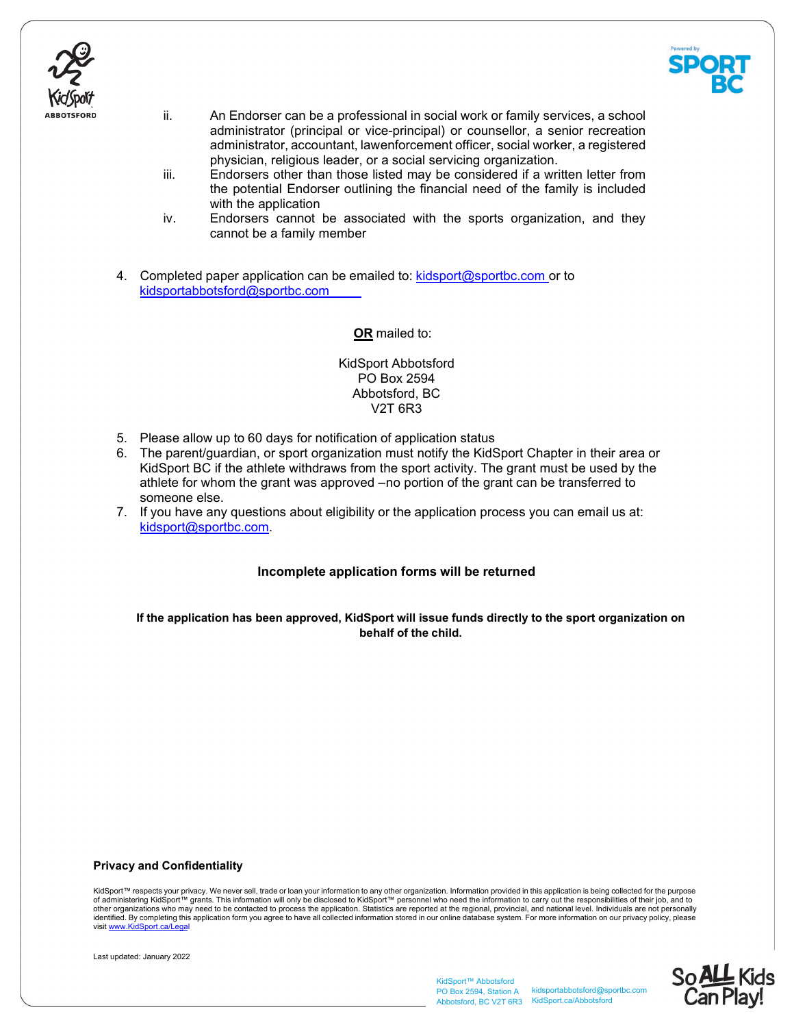



- ii. An Endorser can be a professional in social work or family services, a school administrator (principal or vice-principal) or counsellor, a senior recreation administrator, accountant, lawenforcement officer, social worker, a registered physician, religious leader, or a social servicing organization.
- iii. Endorsers other than those listed may be considered if a written letter from the potential Endorser outlining the financial need of the family is included with the application
- iv. Endorsers cannot be associated with the sports organization, and they cannot be a family member
- 4. Completed paper application can be emailed to: kidsport@sportbc.com or to kidsportabbotsford@sportbc.com

**OR** mailed to:

#### KidSport Abbotsford PO Box 2594 Abbotsford, BC V2T 6R3

- 5. Please allow up to 60 days for notification of application status
- 6. The parent/guardian, or sport organization must notify the KidSport Chapter in their area or KidSport BC if the athlete withdraws from the sport activity. The grant must be used by the athlete for whom the grant was approved – no portion of the grant can be transferred to someone else.
- 7. If you have any questions about eligibility or the application process you can email us at: kidsport@sportbc.com.

#### **Incomplete application forms will be returned**

**If the application has been approved, KidSport will issue funds directly to the sport organization on behalf of the child.**

#### **Privacy and Confidentiality**

KidSport™ respects your privacy. We never sell, trade or loan your information to any other organization. Information provided in this application is being collected for the purpose of administering KidSport™ grants. This information will only be disclosed to KidSport™ personnel who need the information to carry out the responsibilities of their job, and to<br>other organizations who may need to be cont visit www.KidSport.ca/L



KidSport™ Abbotsford PO Box 2594, Station A Abbotsford, BC V2T 6R3 KidSport.ca/Abbotsford

kidsportabbotsford@sportbc.com